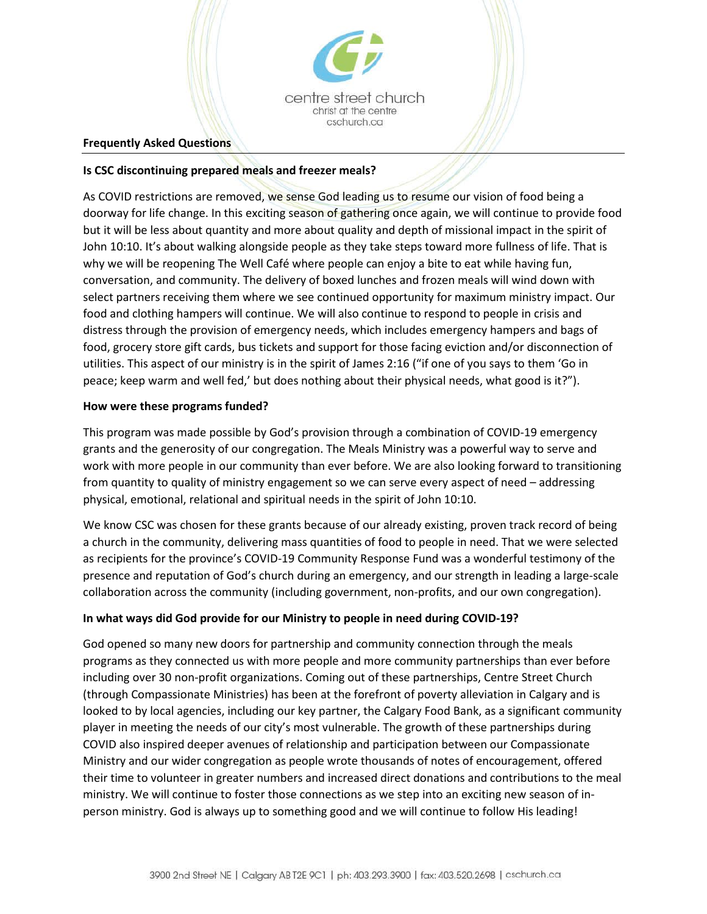

#### **Frequently Asked Questions**

## **Is CSC discontinuing prepared meals and freezer meals?**

As COVID restrictions are removed, we sense God leading us to resume our vision of food being a doorway for life change. In this exciting season of gathering once again, we will continue to provide food but it will be less about quantity and more about quality and depth of missional impact in the spirit of John 10:10. It's about walking alongside people as they take steps toward more fullness of life. That is why we will be reopening The Well Café where people can enjoy a bite to eat while having fun, conversation, and community. The delivery of boxed lunches and frozen meals will wind down with select partners receiving them where we see continued opportunity for maximum ministry impact. Our food and clothing hampers will continue. We will also continue to respond to people in crisis and distress through the provision of emergency needs, which includes emergency hampers and bags of food, grocery store gift cards, bus tickets and support for those facing eviction and/or disconnection of utilities. This aspect of our ministry is in the spirit of James 2:16 ("if one of you says to them 'Go in peace; keep warm and well fed,' but does nothing about their physical needs, what good is it?").

### **How were these programs funded?**

This program was made possible by God's provision through a combination of COVID-19 emergency grants and the generosity of our congregation. The Meals Ministry was a powerful way to serve and work with more people in our community than ever before. We are also looking forward to transitioning from quantity to quality of ministry engagement so we can serve every aspect of need – addressing physical, emotional, relational and spiritual needs in the spirit of John 10:10.

We know CSC was chosen for these grants because of our already existing, proven track record of being a church in the community, delivering mass quantities of food to people in need. That we were selected as recipients for the province's COVID-19 Community Response Fund was a wonderful testimony of the presence and reputation of God's church during an emergency, and our strength in leading a large-scale collaboration across the community (including government, non-profits, and our own congregation).

# **In what ways did God provide for our Ministry to people in need during COVID-19?**

God opened so many new doors for partnership and community connection through the meals programs as they connected us with more people and more community partnerships than ever before including over 30 non-profit organizations. Coming out of these partnerships, Centre Street Church (through Compassionate Ministries) has been at the forefront of poverty alleviation in Calgary and is looked to by local agencies, including our key partner, the Calgary Food Bank, as a significant community player in meeting the needs of our city's most vulnerable. The growth of these partnerships during COVID also inspired deeper avenues of relationship and participation between our Compassionate Ministry and our wider congregation as people wrote thousands of notes of encouragement, offered their time to volunteer in greater numbers and increased direct donations and contributions to the meal ministry. We will continue to foster those connections as we step into an exciting new season of inperson ministry. God is always up to something good and we will continue to follow His leading!